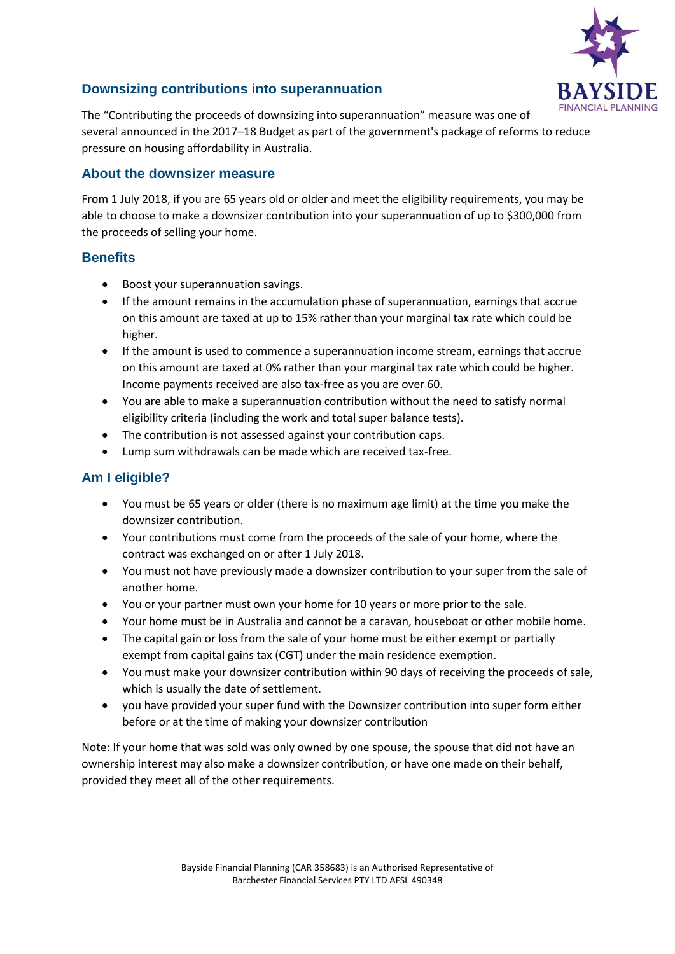

# **Downsizing contributions into superannuation**

The "Contributing the proceeds of downsizing into superannuation" measure was one of several announced in the 2017–18 Budget as part of the government's package of reforms to reduce pressure on housing affordability in Australia.

### **About the downsizer measure**

From 1 July 2018, if you are 65 years old or older and meet the eligibility requirements, you may be able to choose to make a downsizer contribution into your superannuation of up to \$300,000 from the proceeds of selling your home.

### **Benefits**

- Boost your superannuation savings.
- If the amount remains in the accumulation phase of superannuation, earnings that accrue on this amount are taxed at up to 15% rather than your marginal tax rate which could be higher.
- If the amount is used to commence a superannuation income stream, earnings that accrue on this amount are taxed at 0% rather than your marginal tax rate which could be higher. Income payments received are also tax-free as you are over 60.
- You are able to make a superannuation contribution without the need to satisfy normal eligibility criteria (including the work and total super balance tests).
- The contribution is not assessed against your contribution caps.
- Lump sum withdrawals can be made which are received tax-free.

# **Am I eligible?**

- You must be 65 years or older (there is no maximum age limit) at the time you make the downsizer contribution.
- Your contributions must come from the proceeds of the sale of your home, where the contract was exchanged on or after 1 July 2018.
- You must not have previously made a downsizer contribution to your super from the sale of another home.
- You or your partner must own your home for 10 years or more prior to the sale.
- Your home must be in Australia and cannot be a caravan, houseboat or other mobile home.
- The capital gain or loss from the sale of your home must be either exempt or partially exempt from capital gains tax (CGT) under the main residence exemption.
- You must make your downsizer contribution within 90 days of receiving the proceeds of sale, which is usually the date of settlement.
- you have provided your super fund with the Downsizer contribution into super form either before or at the time of making your downsizer contribution

Note: If your home that was sold was only owned by one spouse, the spouse that did not have an ownership interest may also make a downsizer contribution, or have one made on their behalf, provided they meet all of the other requirements.